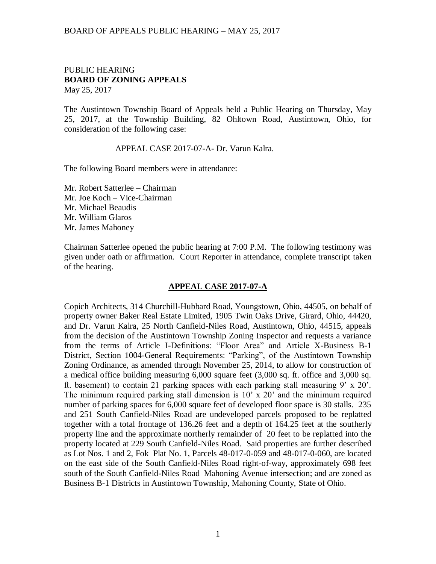### BOARD OF APPEALS PUBLIC HEARING – MAY 25, 2017

### PUBLIC HEARING **BOARD OF ZONING APPEALS**  May 25, 2017

The Austintown Township Board of Appeals held a Public Hearing on Thursday, May 25, 2017, at the Township Building, 82 Ohltown Road, Austintown, Ohio, for consideration of the following case:

#### APPEAL CASE 2017-07-A- Dr. Varun Kalra.

The following Board members were in attendance:

Mr. Robert Satterlee – Chairman Mr. Joe Koch – Vice-Chairman Mr. Michael Beaudis Mr. William Glaros Mr. James Mahoney

Chairman Satterlee opened the public hearing at 7:00 P.M. The following testimony was given under oath or affirmation. Court Reporter in attendance, complete transcript taken of the hearing.

### **APPEAL CASE 2017-07-A**

Copich Architects, 314 Churchill-Hubbard Road, Youngstown, Ohio, 44505, on behalf of property owner Baker Real Estate Limited, 1905 Twin Oaks Drive, Girard, Ohio, 44420, and Dr. Varun Kalra, 25 North Canfield-Niles Road, Austintown, Ohio, 44515, appeals from the decision of the Austintown Township Zoning Inspector and requests a variance from the terms of Article I-Definitions: "Floor Area" and Article X-Business B-1 District, Section 1004-General Requirements: "Parking", of the Austintown Township Zoning Ordinance, as amended through November 25, 2014, to allow for construction of a medical office building measuring 6,000 square feet (3,000 sq. ft. office and 3,000 sq. ft. basement) to contain 21 parking spaces with each parking stall measuring 9' x 20'. The minimum required parking stall dimension is 10' x 20' and the minimum required number of parking spaces for 6,000 square feet of developed floor space is 30 stalls. 235 and 251 South Canfield-Niles Road are undeveloped parcels proposed to be replatted together with a total frontage of 136.26 feet and a depth of 164.25 feet at the southerly property line and the approximate northerly remainder of 20 feet to be replatted into the property located at 229 South Canfield-Niles Road. Said properties are further described as Lot Nos. 1 and 2, Fok Plat No. 1, Parcels 48-017-0-059 and 48-017-0-060, are located on the east side of the South Canfield-Niles Road right-of-way, approximately 698 feet south of the South Canfield-Niles Road–Mahoning Avenue intersection; and are zoned as Business B-1 Districts in Austintown Township, Mahoning County, State of Ohio.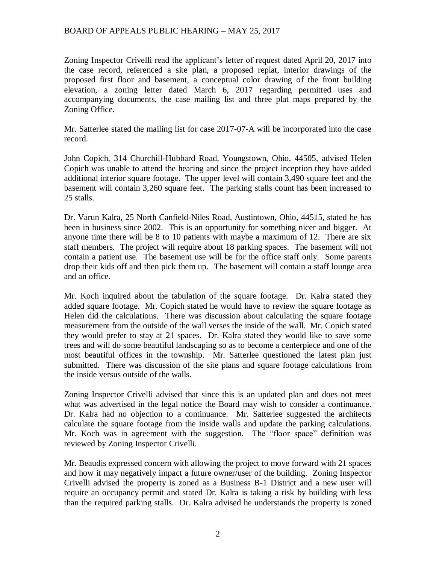# BOARD OF APPEALS PUBLIC HEARING – MAY 25, 2017

Zoning Inspector Crivelli read the applicant's letter of request dated April 20, 2017 into the case record, referenced a site plan, a proposed replat, interior drawings of the proposed first floor and basement, a conceptual color drawing of the front building elevation, a zoning letter dated March 6, 2017 regarding permitted uses and accompanying documents, the case mailing list and three plat maps prepared by the Zoning Office.

Mr. Satterlee stated the mailing list for case 2017-07-A will be incorporated into the case record.

John Copich, 314 Churchill-Hubbard Road, Youngstown, Ohio, 44505, advised Helen Copich was unable to attend the hearing and since the project inception they have added additional interior square footage. The upper level will contain 3,490 square feet and the basement will contain 3,260 square feet. The parking stalls count has been increased to 25 stalls.

Dr. Varun Kalra, 25 North Canfield-Niles Road, Austintown, Ohio, 44515, stated he has been in business since 2002. This is an opportunity for something nicer and bigger. At anyone time there will be 8 to 10 patients with maybe a maximum of 12. There are six staff members. The project will require about 18 parking spaces. The basement will not contain a patient use. The basement use will be for the office staff only. Some parents drop their kids off and then pick them up. The basement will contain a staff lounge area and an office.

Mr. Koch inquired about the tabulation of the square footage. Dr. Kalra stated they added square footage. Mr. Copich stated he would have to review the square footage as Helen did the calculations. There was discussion about calculating the square footage measurement from the outside of the wall verses the inside of the wall. Mr. Copich stated they would prefer to stay at 21 spaces. Dr. Kalra stated they would like to save some trees and will do some beautiful landscaping so as to become a centerpiece and one of the most beautiful offices in the township. Mr. Satterlee questioned the latest plan just submitted. There was discussion of the site plans and square footage calculations from the inside versus outside of the walls.

Zoning Inspector Crivelli advised that since this is an updated plan and does not meet what was advertised in the legal notice the Board may wish to consider a continuance. Dr. Kalra had no objection to a continuance. Mr. Satterlee suggested the architects calculate the square footage from the inside walls and update the parking calculations. Mr. Koch was in agreement with the suggestion. The "floor space" definition was reviewed by Zoning Inspector Crivelli.

Mr. Beaudis expressed concern with allowing the project to move forward with 21 spaces and how it may negatively impact a future owner/user of the building. Zoning Inspector Crivelli advised the property is zoned as a Business B-1 District and a new user will require an occupancy permit and stated Dr. Kalra is taking a risk by building with less than the required parking stalls. Dr. Kalra advised he understands the property is zoned